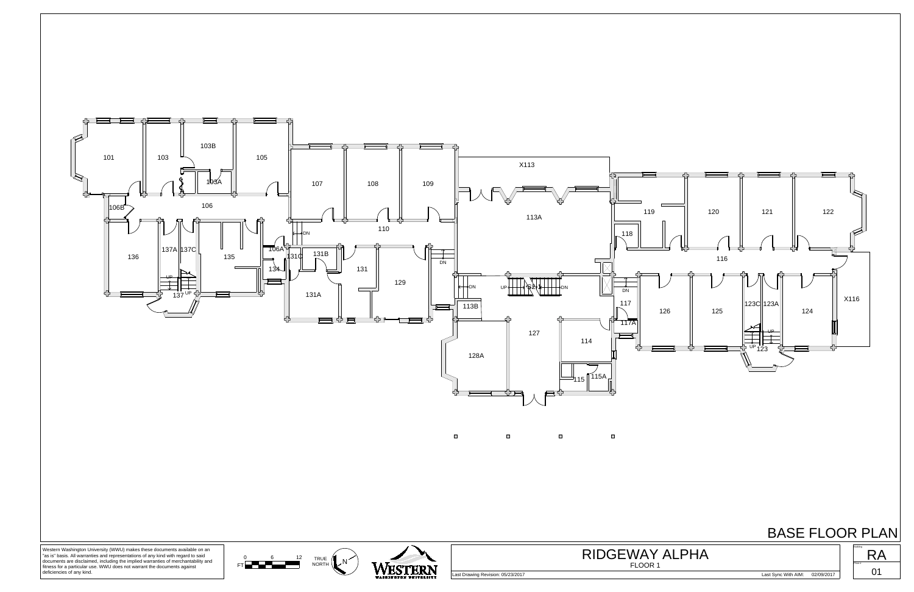

## BASE FLOOR PLAN



 $\begin{array}{cccc}\n0 & 6 & 12 & \text{TRU} \\
\hline\n\end{array}$  MOR

Western Washington University (WWU) makes these documents available on an "as is" basis. All warranties and representations of any kind with regard to said documents are disclaimed, including the implied warranties of merchantability and fitness for a particular use. WWU does not warrant the documents against deficiencies of any kind.

Last Drawing Revision: 05/23/2017 Last Sync With AIM: 02/09/2017



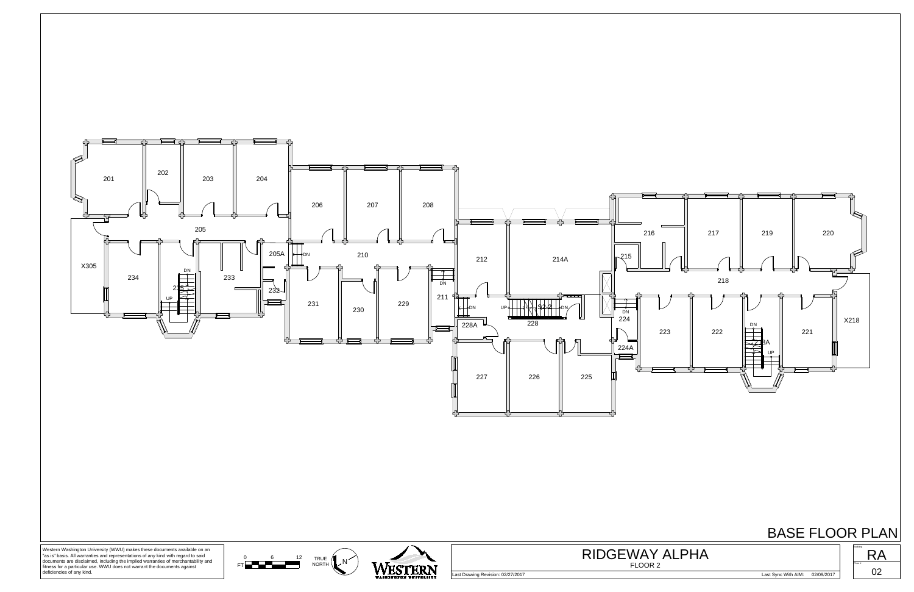

## BASE FLOOR PLAN





Western Washington University (WWU) makes these documents available on an "as is" basis. All warranties and representations of any kind with regard to said documents are disclaimed, including the implied warranties of merchantability and fitness for a particular use. WWU does not warrant the documents against deficiencies of any kind.

Last Drawing Revision: 02/27/2017 Last Sync With AIM: 02/09/2017